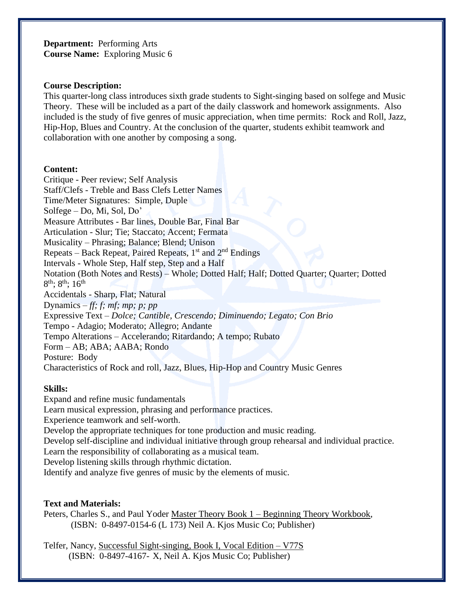**Department:** Performing Arts **Course Name:** Exploring Music 6

#### **Course Description:**

This quarter-long class introduces sixth grade students to Sight-singing based on solfege and Music Theory. These will be included as a part of the daily classwork and homework assignments. Also included is the study of five genres of music appreciation, when time permits: Rock and Roll, Jazz, Hip-Hop, Blues and Country. At the conclusion of the quarter, students exhibit teamwork and collaboration with one another by composing a song.

#### **Content:**

Critique - Peer review; Self Analysis Staff/Clefs - Treble and Bass Clefs Letter Names Time/Meter Signatures: Simple, Duple Solfege – Do, Mi, Sol, Do' Measure Attributes - Bar lines, Double Bar, Final Bar Articulation - Slur; Tie; Staccato; Accent; Fermata Musicality – Phrasing; Balance; Blend; Unison Repeats – Back Repeat, Paired Repeats, 1<sup>st</sup> and 2<sup>nd</sup> Endings Intervals - Whole Step, Half step, Step and a Half Notation (Both Notes and Rests) – Whole; Dotted Half; Half; Dotted Quarter; Quarter; Dotted  $8^{\text{th}}$ ;  $8^{\text{th}}$ ;  $16^{\text{th}}$ Accidentals - Sharp, Flat; Natural Dynamics *– ff; f; mf; mp; p; pp* Expressive Text – *Dolce; Cantible, Crescendo; Diminuendo; Legato; Con Brio* Tempo - Adagio; Moderato; Allegro; Andante Tempo Alterations – Accelerando; Ritardando; A tempo; Rubato Form – AB; ABA; AABA; Rondo Posture: Body Characteristics of Rock and roll, Jazz, Blues, Hip-Hop and Country Music Genres

## **Skills:**

Expand and refine music fundamentals Learn musical expression, phrasing and performance practices. Experience teamwork and self-worth. Develop the appropriate techniques for tone production and music reading. Develop self-discipline and individual initiative through group rehearsal and individual practice. Learn the responsibility of collaborating as a musical team. Develop listening skills through rhythmic dictation. Identify and analyze five genres of music by the elements of music.

## **Text and Materials:**

Peters, Charles S., and Paul Yoder Master Theory Book 1 – Beginning Theory Workbook, (ISBN: 0-8497-0154-6 (L 173) Neil A. Kjos Music Co; Publisher)

Telfer, Nancy, Successful Sight-singing, Book I, Vocal Edition – V77S (ISBN: 0-8497-4167- X, Neil A. Kjos Music Co; Publisher)